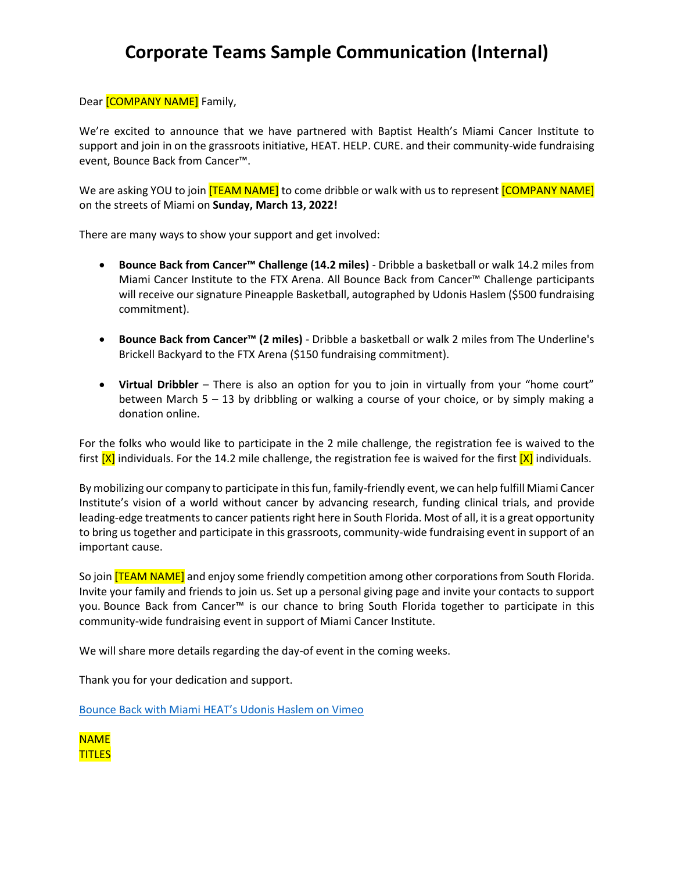## **Corporate Teams Sample Communication (Internal)**

Dear [COMPANY NAME] Family,

We're excited to announce that we have partnered with Baptist Health's Miami Cancer Institute to support and join in on the grassroots initiative, HEAT. HELP. CURE. and their community-wide fundraising event, Bounce Back from Cancer™.

We are asking YOU to join **[TEAM NAME]** to come dribble or walk with us to represent **[COMPANY NAME]** on the streets of Miami on **Sunday, March 13, 2022!**

There are many ways to show your support and get involved:

- **Bounce Back from Cancer™ Challenge (14.2 miles)** Dribble a basketball or walk 14.2 miles from Miami Cancer Institute to the FTX Arena. All Bounce Back from Cancer™ Challenge participants will receive our signature Pineapple Basketball, autographed by Udonis Haslem (\$500 fundraising commitment).
- **Bounce Back from Cancer™ (2 miles)**  Dribble a basketball or walk 2 miles from The Underline's Brickell Backyard to the FTX Arena (\$150 fundraising commitment).
- **Virtual Dribbler** There is also an option for you to join in virtually from your "home court" between March 5 – 13 by dribbling or walking a course of your choice, or by simply making a donation online.

For the folks who would like to participate in the 2 mile challenge, the registration fee is waived to the first  $[X]$  individuals. For the 14.2 mile challenge, the registration fee is waived for the first  $[X]$  individuals.

By mobilizing our company to participate in this fun, family-friendly event, we can help fulfill Miami Cancer Institute's vision of a world without cancer by advancing research, funding clinical trials, and provide leading-edge treatments to cancer patients right here in South Florida. Most of all, it is a great opportunity to bring us together and participate in this grassroots, community-wide fundraising event in support of an important cause.

So join **[TEAM NAME]** and enjoy some friendly competition among other corporations from South Florida. Invite your family and friends to join us. Set up a personal giving page and invite your contacts to support you. Bounce Back from Cancer™ is our chance to bring South Florida together to participate in this community-wide fundraising event in support of Miami Cancer Institute.

We will share more details regarding the day-of event in the coming weeks.

Thank you for your dedication and support.

[Bounce Back with Miami HEAT's Udonis Haslem on Vimeo](https://vimeo.com/667967277)

NAME TITLES